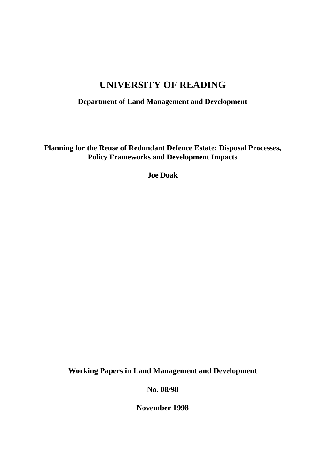# **UNIVERSITY OF READING**

**Department of Land Management and Development**

**Planning for the Reuse of Redundant Defence Estate: Disposal Processes, Policy Frameworks and Development Impacts**

**Joe Doak**

**Working Papers in Land Management and Development**

**No. 08/98**

**November 1998**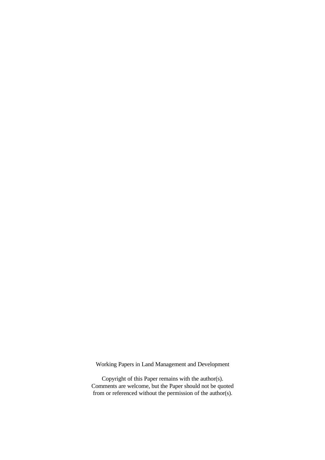Working Papers in Land Management and Development

Copyright of this Paper remains with the author(s). Comments are welcome, but the Paper should not be quoted from or referenced without the permission of the author(s).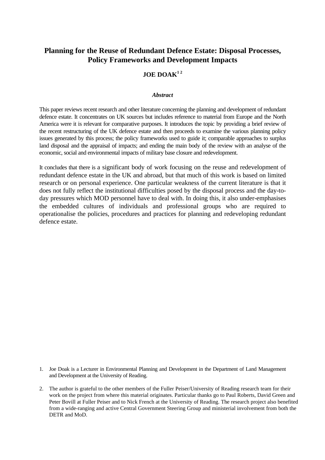### **Planning for the Reuse of Redundant Defence Estate: Disposal Processes, Policy Frameworks and Development Impacts**

#### $JOE DOAK<sup>12</sup>$

#### *Abstract*

This paper reviews recent research and other literature concerning the planning and development of redundant defence estate. It concentrates on UK sources but includes reference to material from Europe and the North America were it is relevant for comparative purposes. It introduces the topic by providing a brief review of the recent restructuring of the UK defence estate and then proceeds to examine the various planning policy issues generated by this process; the policy frameworks used to guide it; comparable approaches to surplus land disposal and the appraisal of impacts; and ending the main body of the review with an analyse of the economic, social and environmental impacts of military base closure and redevelopment.

It concludes that there is a significant body of work focusing on the reuse and redevelopment of redundant defence estate in the UK and abroad, but that much of this work is based on limited research or on personal experience. One particular weakness of the current literature is that it does not fully reflect the institutional difficulties posed by the disposal process and the day-today pressures which MOD personnel have to deal with. In doing this, it also under-emphasises the embedded cultures of individuals and professional groups who are required to operationalise the policies, procedures and practices for planning and redeveloping redundant defence estate.

- 1. Joe Doak is a Lecturer in Environmental Planning and Development in the Department of Land Management and Development at the University of Reading.
- 2. The author is grateful to the other members of the Fuller Peiser/University of Reading research team for their work on the project from where this material originates. Particular thanks go to Paul Roberts, David Green and Peter Bovill at Fuller Peiser and to Nick French at the University of Reading. The research project also benefited from a wide-ranging and active Central Government Steering Group and ministerial involvement from both the DETR and MoD.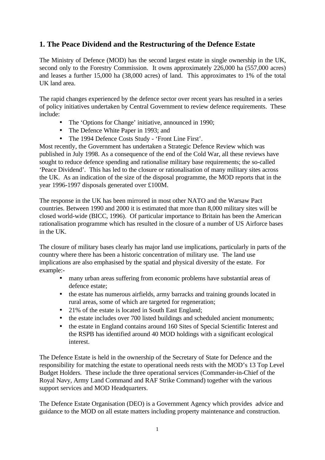# **1. The Peace Dividend and the Restructuring of the Defence Estate**

The Ministry of Defence (MOD) has the second largest estate in single ownership in the UK, second only to the Forestry Commission. It owns approximately 226,000 ha (557,000 acres) and leases a further 15,000 ha (38,000 acres) of land. This approximates to 1% of the total UK land area.

The rapid changes experienced by the defence sector over recent years has resulted in a series of policy initiatives undertaken by Central Government to review defence requirements. These include:

- The 'Options for Change' initiative, announced in 1990;
- The Defence White Paper in 1993; and
- The 1994 Defence Costs Study 'Front Line First'.

Most recently, the Government has undertaken a Strategic Defence Review which was published in July 1998. As a consequence of the end of the Cold War, all these reviews have sought to reduce defence spending and rationalise military base requirements; the so-called 'Peace Dividend'. This has led to the closure or rationalisation of many military sites across the UK. As an indication of the size of the disposal programme, the MOD reports that in the year 1996-1997 disposals generated over £100M.

The response in the UK has been mirrored in most other NATO and the Warsaw Pact countries. Between 1990 and 2000 it is estimated that more than 8,000 military sites will be closed world-wide (BICC, 1996). Of particular importance to Britain has been the American rationalisation programme which has resulted in the closure of a number of US Airforce bases in the UK.

The closure of military bases clearly has major land use implications, particularly in parts of the country where there has been a historic concentration of military use. The land use implications are also emphasised by the spatial and physical diversity of the estate. For example:-

- many urban areas suffering from economic problems have substantial areas of defence estate;
- the estate has numerous airfields, army barracks and training grounds located in rural areas, some of which are targeted for regeneration;
- 21% of the estate is located in South East England;
- the estate includes over 700 listed buildings and scheduled ancient monuments;
- the estate in England contains around 160 Sites of Special Scientific Interest and the RSPB has identified around 40 MOD holdings with a significant ecological interest.

The Defence Estate is held in the ownership of the Secretary of State for Defence and the responsibility for matching the estate to operational needs rests with the MOD's 13 Top Level Budget Holders. These include the three operational services (Commander-in-Chief of the Royal Navy, Army Land Command and RAF Strike Command) together with the various support services and MOD Headquarters.

The Defence Estate Organisation (DEO) is a Government Agency which provides advice and guidance to the MOD on all estate matters including property maintenance and construction.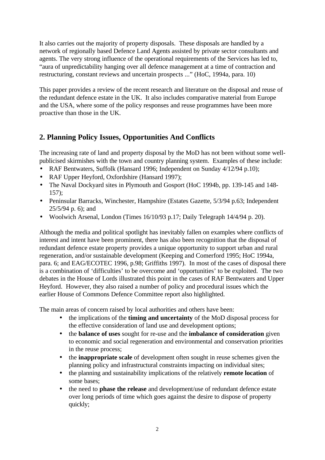It also carries out the majority of property disposals. These disposals are handled by a network of regionally based Defence Land Agents assisted by private sector consultants and agents. The very strong influence of the operational requirements of the Services has led to, "aura of unpredictability hanging over all defence management at a time of contraction and restructuring, constant reviews and uncertain prospects ..." (HoC, 1994a, para. 10)

This paper provides a review of the recent research and literature on the disposal and reuse of the redundant defence estate in the UK. It also includes comparative material from Europe and the USA, where some of the policy responses and reuse programmes have been more proactive than those in the UK.

## **2. Planning Policy Issues, Opportunities And Conflicts**

The increasing rate of land and property disposal by the MoD has not been without some wellpublicised skirmishes with the town and country planning system. Examples of these include:

- RAF Bentwaters, Suffolk (Hansard 1996; Independent on Sunday 4/12/94 p.10);
- RAF Upper Heyford, Oxfordshire (Hansard 1997);
- The Naval Dockyard sites in Plymouth and Gosport (HoC 1994b, pp. 139-145 and 148-157);
- Peninsular Barracks, Winchester, Hampshire (Estates Gazette, 5/3/94 p.63; Independent 25/5/94 p. 6); and
- Woolwich Arsenal, London (Times 16/10/93 p.17; Daily Telegraph 14/4/94 p. 20).

Although the media and political spotlight has inevitably fallen on examples where conflicts of interest and intent have been prominent, there has also been recognition that the disposal of redundant defence estate property provides a unique opportunity to support urban and rural regeneration, and/or sustainable development (Keeping and Comerford 1995; HoC 1994a, para. 6; and EAG/ECOTEC 1996, p.98; Griffiths 1997). In most of the cases of disposal there is a combination of 'difficulties' to be overcome and 'opportunities' to be exploited. The two debates in the House of Lords illustrated this point in the cases of RAF Bentwaters and Upper Heyford. However, they also raised a number of policy and procedural issues which the earlier House of Commons Defence Committee report also highlighted.

The main areas of concern raised by local authorities and others have been:

- the implications of the **timing and uncertainty** of the MoD disposal process for the effective consideration of land use and development options;
- the **balance of uses** sought for re-use and the **imbalance of consideration** given to economic and social regeneration and environmental and conservation priorities in the reuse process;
- the **inappropriate scale** of development often sought in reuse schemes given the planning policy and infrastructural constraints impacting on individual sites;
- the planning and sustainability implications of the relatively **remote location** of some bases;
- the need to **phase the release** and development/use of redundant defence estate over long periods of time which goes against the desire to dispose of property quickly;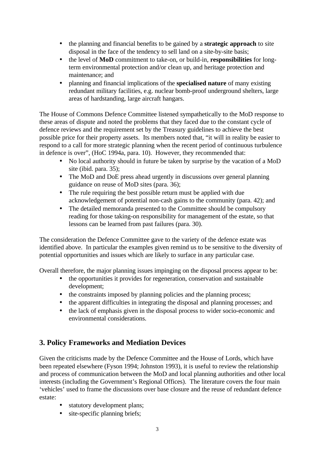- the planning and financial benefits to be gained by a **strategic approach** to site disposal in the face of the tendency to sell land on a site-by-site basis;
- the level of **MoD** commitment to take-on, or build-in, **responsibilities** for longterm environmental protection and/or clean up, and heritage protection and maintenance; and
- planning and financial implications of the **specialised nature** of many existing redundant military facilities, e.g. nuclear bomb-proof underground shelters, large areas of hardstanding, large aircraft hangars.

The House of Commons Defence Committee listened sympathetically to the MoD response to these areas of dispute and noted the problems that they faced due to the constant cycle of defence reviews and the requirement set by the Treasury guidelines to achieve the best possible price for their property assets. Its members noted that, "it will in reality be easier to respond to a call for more strategic planning when the recent period of continuous turbulence in defence is over", (HoC 1994a, para. 10). However, they recommended that:

- No local authority should in future be taken by surprise by the vacation of a MoD site (ibid. para. 35);
- The MoD and DoE press ahead urgently in discussions over general planning guidance on reuse of MoD sites (para. 36);
- The rule requiring the best possible return must be applied with due acknowledgement of potential non-cash gains to the community (para. 42); and
- The detailed memoranda presented to the Committee should be compulsory reading for those taking-on responsibility for management of the estate, so that lessons can be learned from past failures (para. 30).

The consideration the Defence Committee gave to the variety of the defence estate was identified above. In particular the examples given remind us to be sensitive to the diversity of potential opportunities and issues which are likely to surface in any particular case.

Overall therefore, the major planning issues impinging on the disposal process appear to be:

- the opportunities it provides for regeneration, conservation and sustainable development;
- the constraints imposed by planning policies and the planning process;
- the apparent difficulties in integrating the disposal and planning processes; and
- the lack of emphasis given in the disposal process to wider socio-economic and environmental considerations.

# **3. Policy Frameworks and Mediation Devices**

Given the criticisms made by the Defence Committee and the House of Lords, which have been repeated elsewhere (Fyson 1994; Johnston 1993), it is useful to review the relationship and process of communication between the MoD and local planning authorities and other local interests (including the Government's Regional Offices). The literature covers the four main 'vehicles' used to frame the discussions over base closure and the reuse of redundant defence estate:

- statutory development plans;
- site-specific planning briefs;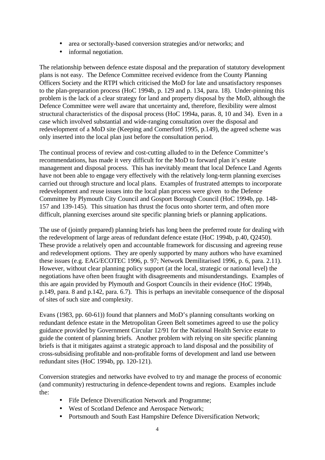- area or sectorally-based conversion strategies and/or networks; and
- informal negotiation.

The relationship between defence estate disposal and the preparation of statutory development plans is not easy. The Defence Committee received evidence from the County Planning Officers Society and the RTPI which criticised the MoD for late and unsatisfactory responses to the plan-preparation process (HoC 1994b, p. 129 and p. 134, para. 18). Under-pinning this problem is the lack of a clear strategy for land and property disposal by the MoD, although the Defence Committee were well aware that uncertainty and, therefore, flexibility were almost structural characteristics of the disposal process (HoC 1994a, paras. 8, 10 and 34). Even in a case which involved substantial and wide-ranging consultation over the disposal and redevelopment of a MoD site (Keeping and Comerford 1995, p.149), the agreed scheme was only inserted into the local plan just before the consultation period.

The continual process of review and cost-cutting alluded to in the Defence Committee's recommendations, has made it very difficult for the MoD to forward plan it's estate management and disposal process. This has inevitably meant that local Defence Land Agents have not been able to engage very effectively with the relatively long-term planning exercises carried out through structure and local plans. Examples of frustrated attempts to incorporate redevelopment and reuse issues into the local plan process were given to the Defence Committee by Plymouth City Council and Gosport Borough Council (HoC 1994b, pp. 148- 157 and 139-145). This situation has thrust the focus onto shorter term, and often more difficult, planning exercises around site specific planning briefs or planning applications.

The use of (jointly prepared) planning briefs has long been the preferred route for dealing with the redevelopment of large areas of redundant defence estate (HoC 1994b, p.40, Q2450). These provide a relatively open and accountable framework for discussing and agreeing reuse and redevelopment options. They are openly supported by many authors who have examined these issues (e.g. EAG/ECOTEC 1996, p. 97; Network Demilitarised 1996, p. 6, para. 2.11). However, without clear planning policy support (at the local, strategic or national level) the negotiations have often been fraught with disagreements and misunderstandings. Examples of this are again provided by Plymouth and Gosport Councils in their evidence (HoC 1994b, p.149, para. 8 and p.142, para. 6.7). This is perhaps an inevitable consequence of the disposal of sites of such size and complexity.

Evans (1983, pp. 60-61)) found that planners and MoD's planning consultants working on redundant defence estate in the Metropolitan Green Belt sometimes agreed to use the policy guidance provided by Government Circular 12/91 for the National Health Service estate to guide the content of planning briefs. Another problem with relying on site specific planning briefs is that it mitigates against a strategic approach to land disposal and the possibility of cross-subsidising profitable and non-profitable forms of development and land use between redundant sites (HoC 1994b, pp. 120-121).

Conversion strategies and networks have evolved to try and manage the process of economic (and community) restructuring in defence-dependent towns and regions. Examples include the:

- Fife Defence Diversification Network and Programme;
- West of Scotland Defence and Aerospace Network;
- Portsmouth and South East Hampshire Defence Diversification Network: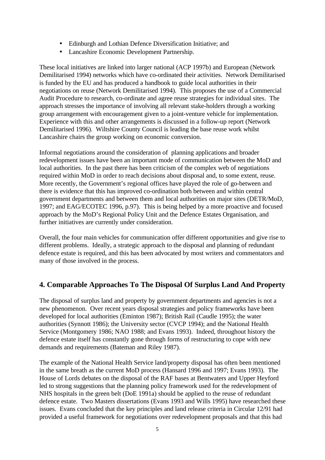- Edinburgh and Lothian Defence Diversification Initiative; and
- Lancashire Economic Development Partnership.

These local initiatives are linked into larger national (ACP 1997b) and European (Network Demilitarised 1994) networks which have co-ordinated their activities. Network Demilitarised is funded by the EU and has produced a handbook to guide local authorities in their negotiations on reuse (Network Demilitarised 1994). This proposes the use of a Commercial Audit Procedure to research, co-ordinate and agree reuse strategies for individual sites. The approach stresses the importance of involving all relevant stake-holders through a working group arrangement with encouragement given to a joint-venture vehicle for implementation. Experience with this and other arrangements is discussed in a follow-up report (Network Demilitarised 1996). Wiltshire County Council is leading the base reuse work whilst Lancashire chairs the group working on economic conversion.

Informal negotiations around the consideration of planning applications and broader redevelopment issues have been an important mode of communication between the MoD and local authorities. In the past there has been criticism of the complex web of negotiations required within MoD in order to reach decisions about disposal and, to some extent, reuse. More recently, the Government's regional offices have played the role of go-between and there is evidence that this has improved co-ordination both between and within central government departments and between them and local authorities on major sites (DETR/MoD, 1997; and EAG/ECOTEC 1996, p.97). This is being helped by a more proactive and focused approach by the MoD's Regional Policy Unit and the Defence Estates Organisation, and further initiatives are currently under consideration.

Overall, the four main vehicles for communication offer different opportunities and give rise to different problems. Ideally, a strategic approach to the disposal and planning of redundant defence estate is required, and this has been advocated by most writers and commentators and many of those involved in the process.

# **4. Comparable Approaches To The Disposal Of Surplus Land And Property**

The disposal of surplus land and property by government departments and agencies is not a new phenomenon. Over recent years disposal strategies and policy frameworks have been developed for local authorities (Eminton 1987); British Rail (Caudle 1995); the water authorities (Synnott 1986); the University sector (CVCP 1994); and the National Health Service (Montgomery 1986; NAO 1988; and Evans 1993). Indeed, throughout history the defence estate itself has constantly gone through forms of restructuring to cope with new demands and requirements (Bateman and Riley 1987).

The example of the National Health Service land/property disposal has often been mentioned in the same breath as the current MoD process (Hansard 1996 and 1997; Evans 1993). The House of Lords debates on the disposal of the RAF bases at Bentwaters and Upper Heyford led to strong suggestions that the planning policy framework used for the redevelopment of NHS hospitals in the green belt (DoE 1991a) should be applied to the reuse of redundant defence estate. Two Masters dissertations (Evans 1993 and Wills 1995) have researched these issues. Evans concluded that the key principles and land release criteria in Circular 12/91 had provided a useful framework for negotiations over redevelopment proposals and that this had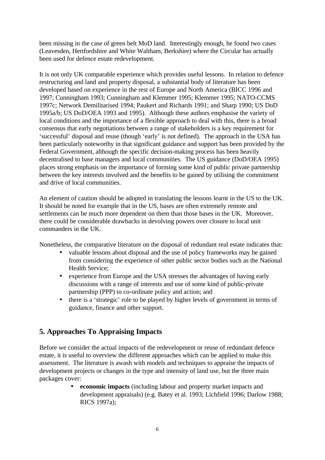been missing in the case of green belt MoD land. Interestingly enough, he found two cases (Leavesden, Hertfordshire and White Waltham, Berkshire) where the Circular has actually been used for defence estate redevelopment.

It is not only UK comparable experience which provides useful lessons. In relation to defence restructuring and land and property disposal, a substantial body of literature has been developed based on experience in the rest of Europe and North America (BICC 1996 and 1997; Cunningham 1993; Cunningham and Klemmer 1995; Klemmer 1995; NATO-CCMS 1997c; Network Demilitarised 1994; Paukert and Richards 1991; and Sharp 1990; US DoD 1995a/b; US DoD/OEA 1993 and 1995). Although these authors emphasise the variety of local conditions and the importance of a flexible approach to deal with this, there is a broad consensus that early negotiations between a range of stakeholders is a key requirement for 'successful' disposal and reuse (though 'early' is not defined). The approach in the USA has been particularly noteworthy in that significant guidance and support has been provided by the Federal Government, although the specific decision-making process has been heavily decentralised to base managers and local communities. The US guidance (DoD/OEA 1995) places strong emphasis on the importance of forming some kind of public private partnership between the key interests involved and the benefits to be gained by utilising the commitment and drive of local communities.

An element of caution should be adopted in translating the lessons learnt in the US to the UK. It should be noted for example that in the US, bases are often extremely remote and settlements can be much more dependent on them than those bases in the UK. Moreover, there could be considerable drawbacks in devolving powers over closure to local unit commanders in the UK.

Nonetheless, the comparative literature on the disposal of redundant real estate indicates that:

- valuable lessons about disposal and the use of policy frameworks may be gained from considering the experience of other public sector bodies such as the National Health Service;
- experience from Europe and the USA stresses the advantages of having early discussions with a range of interests and use of some kind of public-private partnership (PPP) to co-ordinate policy and action; and
- there is a 'strategic' role to be played by higher levels of government in terms of guidance, finance and other support.

# **5. Approaches To Appraising Impacts**

Before we consider the actual impacts of the redevelopment or reuse of redundant defence estate, it is useful to overview the different approaches which can be applied to make this assessment. The literature is awash with models and techniques to appraise the impacts of development projects or changes in the type and intensity of land use, but the three main packages cover:

> • **economic impacts** (including labour and property market impacts and development appraisals) (e.g. Batey et al. 1993; Lichfield 1996; Darlow 1988; RICS 1997a);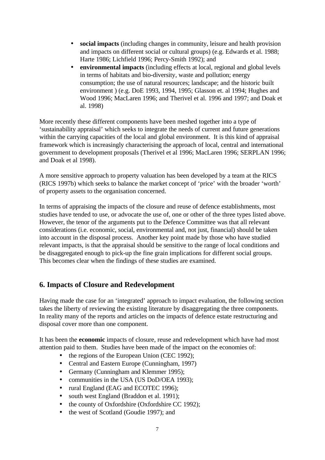- **social impacts** (including changes in community, leisure and health provision and impacts on different social or cultural groups) (e.g. Edwards et al. 1988; Harte 1986; Lichfield 1996; Percy-Smith 1992); and
- **environmental impacts** (including effects at local, regional and global levels in terms of habitats and bio-diversity, waste and pollution; energy consumption; the use of natural resources; landscape; and the historic built environment ) (e.g. DoE 1993, 1994, 1995; Glasson et. al 1994; Hughes and Wood 1996; MacLaren 1996; and Therivel et al. 1996 and 1997; and Doak et al. 1998)

More recently these different components have been meshed together into a type of 'sustainability appraisal' which seeks to integrate the needs of current and future generations within the carrying capacities of the local and global environment. It is this kind of appraisal framework which is increasingly characterising the approach of local, central and international government to development proposals (Therivel et al 1996; MacLaren 1996; SERPLAN 1996; and Doak et al 1998).

A more sensitive approach to property valuation has been developed by a team at the RICS (RICS 1997b) which seeks to balance the market concept of 'price' with the broader 'worth' of property assets to the organisation concerned.

In terms of appraising the impacts of the closure and reuse of defence establishments, most studies have tended to use, or advocate the use of, one or other of the three types listed above. However, the tenor of the arguments put to the Defence Committee was that all relevant considerations (i.e. economic, social, environmental and, not just, financial) should be taken into account in the disposal process. Another key point made by those who have studied relevant impacts, is that the appraisal should be sensitive to the range of local conditions and be disaggregated enough to pick-up the fine grain implications for different social groups. This becomes clear when the findings of these studies are examined.

#### **6. Impacts of Closure and Redevelopment**

Having made the case for an 'integrated' approach to impact evaluation, the following section takes the liberty of reviewing the existing literature by disaggregating the three components. In reality many of the reports and articles on the impacts of defence estate restructuring and disposal cover more than one component.

It has been the **economic** impacts of closure, reuse and redevelopment which have had most attention paid to them. Studies have been made of the impact on the economies of:

- the regions of the European Union (CEC 1992);
- Central and Eastern Europe (Cunningham, 1997)
- Germany (Cunningham and Klemmer 1995);
- communities in the USA (US DoD/OEA 1993):
- rural England (EAG and ECOTEC 1996):
- south west England (Braddon et al. 1991);
- the county of Oxfordshire (Oxfordshire CC 1992);
- the west of Scotland (Goudie 1997); and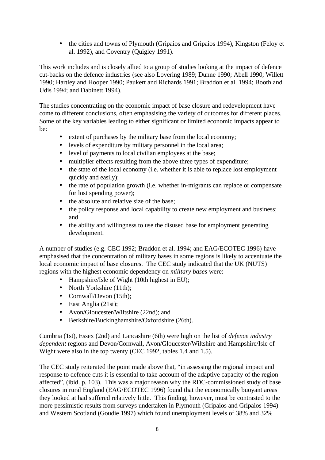• the cities and towns of Plymouth (Gripaios and Gripaios 1994), Kingston (Feloy et al. 1992), and Coventry (Quigley 1991).

This work includes and is closely allied to a group of studies looking at the impact of defence cut-backs on the defence industries (see also Lovering 1989; Dunne 1990; Abell 1990; Willett 1990; Hartley and Hooper 1990; Paukert and Richards 1991; Braddon et al. 1994; Booth and Udis 1994; and Dabinett 1994).

The studies concentrating on the economic impact of base closure and redevelopment have come to different conclusions, often emphasising the variety of outcomes for different places. Some of the key variables leading to either significant or limited economic impacts appear to be:

- extent of purchases by the military base from the local economy;
- levels of expenditure by military personnel in the local area;
- level of payments to local civilian employees at the base:
- multiplier effects resulting from the above three types of expenditure;
- the state of the local economy (i.e. whether it is able to replace lost employment quickly and easily);
- the rate of population growth (i.e. whether in-migrants can replace or compensate for lost spending power);
- the absolute and relative size of the base;
- the policy response and local capability to create new employment and business; and
- the ability and willingness to use the disused base for employment generating development.

A number of studies (e.g. CEC 1992; Braddon et al. 1994; and EAG/ECOTEC 1996) have emphasised that the concentration of military bases in some regions is likely to accentuate the local economic impact of base closures. The CEC study indicated that the UK (NUTS) regions with the highest economic dependency on *military bases* were:

- Hampshire/Isle of Wight (10th highest in EU);
- North Yorkshire (11th);
- Cornwall/Devon (15th);
- East Anglia (21st);
- Avon/Gloucester/Wiltshire (22nd); and
- Berkshire/Buckinghamshire/Oxfordshire (26th).

Cumbria (1st), Essex (2nd) and Lancashire (6th) were high on the list of *defence industry dependent* regions and Devon/Cornwall, Avon/Gloucester/Wiltshire and Hampshire/Isle of Wight were also in the top twenty (CEC 1992, tables 1.4 and 1.5).

The CEC study reiterated the point made above that, "in assessing the regional impact and response to defence cuts it is essential to take account of the adaptive capacity of the region affected", (ibid. p. 103). This was a major reason why the RDC-commissioned study of base closures in rural England (EAG/ECOTEC 1996) found that the economically buoyant areas they looked at had suffered relatively little. This finding, however, must be contrasted to the more pessimistic results from surveys undertaken in Plymouth (Gripaios and Gripaios 1994) and Western Scotland (Goudie 1997) which found unemployment levels of 38% and 32%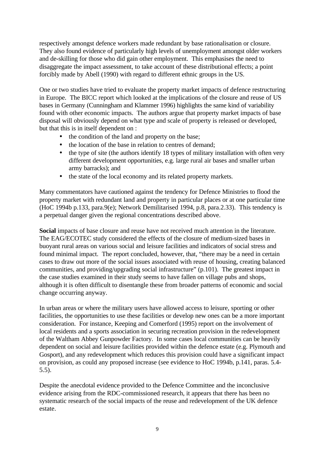respectively amongst defence workers made redundant by base rationalisation or closure. They also found evidence of particularly high levels of unemployment amongst older workers and de-skilling for those who did gain other employment. This emphasises the need to disaggregate the impact assessment, to take account of these distributional effects; a point forcibly made by Abell (1990) with regard to different ethnic groups in the US.

One or two studies have tried to evaluate the property market impacts of defence restructuring in Europe. The BICC report which looked at the implications of the closure and reuse of US bases in Germany (Cunningham and Klammer 1996) highlights the same kind of variability found with other economic impacts. The authors argue that property market impacts of base disposal will obviously depend on what type and scale of property is released or developed, but that this is in itself dependent on :

- the condition of the land and property on the base;
- the location of the base in relation to centres of demand;
- the type of site (the authors identify 18 types of military installation with often very different development opportunities, e.g. large rural air bases and smaller urban army barracks); and
- the state of the local economy and its related property markets.

Many commentators have cautioned against the tendency for Defence Ministries to flood the property market with redundant land and property in particular places or at one particular time (HoC 1994b p.133, para.9(e); Network Demilitarised 1994, p.8, para.2.33). This tendency is a perpetual danger given the regional concentrations described above.

**Social** impacts of base closure and reuse have not received much attention in the literature. The EAG/ECOTEC study considered the effects of the closure of medium-sized bases in buoyant rural areas on various social and leisure facilities and indicators of social stress and found minimal impact. The report concluded, however, that, "there may be a need in certain cases to draw out more of the social issues associated with reuse of housing, creating balanced communities, and providing/upgrading social infrastructure" (p.101). The greatest impact in the case studies examined in their study seems to have fallen on village pubs and shops, although it is often difficult to disentangle these from broader patterns of economic and social change occurring anyway.

In urban areas or where the military users have allowed access to leisure, sporting or other facilities, the opportunities to use these facilities or develop new ones can be a more important consideration. For instance, Keeping and Comerford (1995) report on the involvement of local residents and a sports association in securing recreation provision in the redevelopment of the Waltham Abbey Gunpowder Factory. In some cases local communities can be heavily dependent on social and leisure facilities provided within the defence estate (e.g. Plymouth and Gosport), and any redevelopment which reduces this provision could have a significant impact on provision, as could any proposed increase (see evidence to HoC 1994b, p.141, paras. 5.4- 5.5).

Despite the anecdotal evidence provided to the Defence Committee and the inconclusive evidence arising from the RDC-commissioned research, it appears that there has been no systematic research of the social impacts of the reuse and redevelopment of the UK defence estate.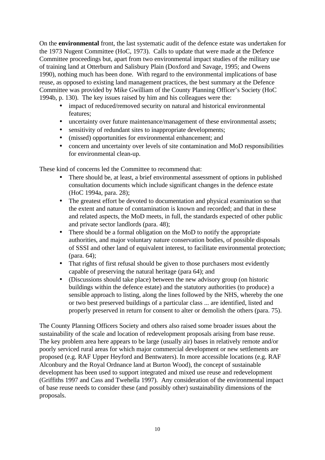On the **environmental** front, the last systematic audit of the defence estate was undertaken for the 1973 Nugent Committee (HoC, 1973). Calls to update that were made at the Defence Committee proceedings but, apart from two environmental impact studies of the military use of training land at Otterburn and Salisbury Plain (Doxford and Savage, 1995; and Owens 1990), nothing much has been done. With regard to the environmental implications of base reuse, as opposed to existing land management practices, the best summary at the Defence Committee was provided by Mike Gwilliam of the County Planning Officer's Society (HoC 1994b, p. 130). The key issues raised by him and his colleagues were the:

- impact of reduced/removed security on natural and historical environmental features;
- uncertainty over future maintenance/management of these environmental assets;
- sensitivity of redundant sites to inappropriate developments;
- (missed) opportunities for environmental enhancement; and
- concern and uncertainty over levels of site contamination and MoD responsibilities for environmental clean-up.

These kind of concerns led the Committee to recommend that:

- There should be, at least, a brief environmental assessment of options in published consultation documents which include significant changes in the defence estate (HoC 1994a, para. 28);
- The greatest effort be devoted to documentation and physical examination so that the extent and nature of contamination is known and recorded; and that in these and related aspects, the MoD meets, in full, the standards expected of other public and private sector landlords (para. 48);
- There should be a formal obligation on the MoD to notify the appropriate authorities, and major voluntary nature conservation bodies, of possible disposals of SSSI and other land of equivalent interest, to facilitate environmental protection; (para. 64);
- That rights of first refusal should be given to those purchasers most evidently capable of preserving the natural heritage (para 64); and
- (Discussions should take place) between the new advisory group (on historic buildings within the defence estate) and the statutory authorities (to produce) a sensible approach to listing, along the lines followed by the NHS, whereby the one or two best preserved buildings of a particular class ... are identified, listed and properly preserved in return for consent to alter or demolish the others (para. 75).

The County Planning Officers Society and others also raised some broader issues about the sustainability of the scale and location of redevelopment proposals arising from base reuse. The key problem area here appears to be large (usually air) bases in relatively remote and/or poorly serviced rural areas for which major commercial development or new settlements are proposed (e.g. RAF Upper Heyford and Bentwaters). In more accessible locations (e.g. RAF Alconbury and the Royal Ordnance land at Burton Wood), the concept of sustainable development has been used to support integrated and mixed use reuse and redevelopment (Griffiths 1997 and Cass and Twehella 1997). Any consideration of the environmental impact of base reuse needs to consider these (and possibly other) sustainability dimensions of the proposals.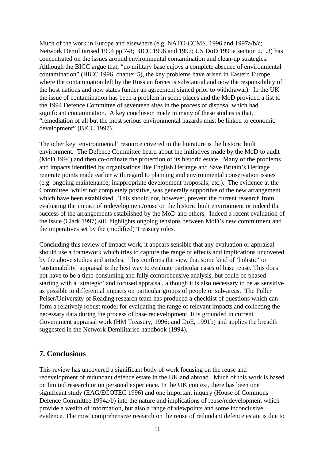Much of the work in Europe and elsewhere (e.g. NATO-CCMS, 1996 and 1997a/b/c; Network Demilitarised 1994 pp.7-8; BICC 1996 and 1997; US DoD 1995a section 2.1.3) has concentrated on the issues around environmental contamination and clean-up strategies. Although the BICC argue that, "no military base enjoys a complete absence of environmental contamination" (BICC 1996, chapter 5), the key problems have arisen in Eastern Europe where the contamination left by the Russian forces is substantial and now the responsibility of the host nations and new states (under an agreement signed prior to withdrawal). In the UK the issue of contamination has been a problem in some places and the MoD provided a list to the 1994 Defence Committee of seventeen sites in the process of disposal which had significant contamination. A key conclusion made in many of these studies is that, "remediation of all but the most serious environmental hazards must be linked to economic development" (BICC 1997).

The other key 'environmental' resource covered in the literature is the historic built environment. The Defence Committee heard about the initiatives made by the MoD to audit (MoD 1994) and then co-ordinate the protection of its historic estate. Many of the problems and impacts identified by organisations like English Heritage and Save Britain's Heritage reiterate points made earlier with regard to planning and environmental conservation issues (e.g. ongoing maintenance; inappropriate development proposals; etc.). The evidence at the Committee, whilst not completely positive, was generally supportive of the new arrangement which have been established. This should not, however, prevent the current research from evaluating the impact of redevelopment/reuse on the historic built environment or indeed the success of the arrangements established by the MoD and others. Indeed a recent evaluation of the issue (Clark 1997) still highlights ongoing tensions between MoD's new commitment and the imperatives set by the (modified) Treasury rules.

Concluding this review of impact work, it appears sensible that any evaluation or appraisal should use a framework which tries to capture the range of effects and implications uncovered by the above studies and articles. This confirms the view that some kind of 'holistic' or 'sustainability' appraisal is the best way to evaluate particular cases of base reuse. This does not have to be a time-consuming and fully comprehensive analysis, but could be phased starting with a 'strategic' and focused appraisal, although it is also necessary to be as sensitive as possible to differential impacts on particular groups of people or sub-areas. The Fuller Peiser/University of Reading research team has produced a checklist of questions which can form a relatively robust model for evaluating the range of relevant impacts and collecting the necessary data during the process of base redevelopment. It is grounded in current Government appraisal work (HM Treasury, 1996; and DoE, 1991b) and applies the breadth suggested in the Network Demilitarise handbook (1994).

#### **7. Conclusions**

This review has uncovered a significant body of work focusing on the reuse and redevelopment of redundant defence estate in the UK and abroad. Much of this work is based on limited research or on personal experience. In the UK context, there has been one significant study (EAG/ECOTEC 1996) and one important inquiry (House of Commons Defence Committee 1994a/b) into the nature and implications of reuse/redevelopment which provide a wealth of information, but also a range of viewpoints and some inconclusive evidence. The most comprehensive research on the reuse of redundant defence estate is due to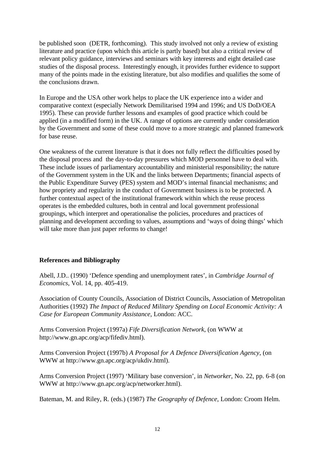be published soon (DETR, forthcoming). This study involved not only a review of existing literature and practice (upon which this article is partly based) but also a critical review of relevant policy guidance, interviews and seminars with key interests and eight detailed case studies of the disposal process. Interestingly enough, it provides further evidence to support many of the points made in the existing literature, but also modifies and qualifies the some of the conclusions drawn.

In Europe and the USA other work helps to place the UK experience into a wider and comparative context (especially Network Demilitarised 1994 and 1996; and US DoD/OEA 1995). These can provide further lessons and examples of good practice which could be applied (in a modified form) in the UK. A range of options are currently under consideration by the Government and some of these could move to a more strategic and planned framework for base reuse.

One weakness of the current literature is that it does not fully reflect the difficulties posed by the disposal process and the day-to-day pressures which MOD personnel have to deal with. These include issues of parliamentary accountability and ministerial responsibility; the nature of the Government system in the UK and the links between Departments; financial aspects of the Public Expenditure Survey (PES) system and MOD's internal financial mechanisms; and how propriety and regularity in the conduct of Government business is to be protected. A further contextual aspect of the institutional framework within which the reuse process operates is the embedded cultures, both in central and local government professional groupings, which interpret and operationalise the policies, procedures and practices of planning and development according to values, assumptions and 'ways of doing things' which will take more than just paper reforms to change!

#### **References and Bibliography**

Abell, J.D.. (1990) 'Defence spending and unemployment rates', in *Cambridge Journal of Economics*, Vol. 14, pp. 405-419.

Association of County Councils, Association of District Councils, Association of Metropolitan Authorities (1992) *The Impact of Reduced Military Spending on Local Economic Activity: A Case for European Community Assistance*, London: ACC.

Arms Conversion Project (1997a) *Fife Diversification Network*, (on WWW at http://www.gn.apc.org/acp/fifediv.html).

Arms Conversion Project (1997b) *A Proposal for A Defence Diversification Agency*, (on WWW at http://www.gn.apc.org/acp/ukdiv.html).

Arms Conversion Project (1997) 'Military base conversion', in *Networker*, No. 22, pp. 6-8 (on WWW at http://www.gn.apc.org/acp/networker.html).

Bateman, M. and Riley, R. (eds.) (1987) *The Geography of Defence*, London: Croom Helm.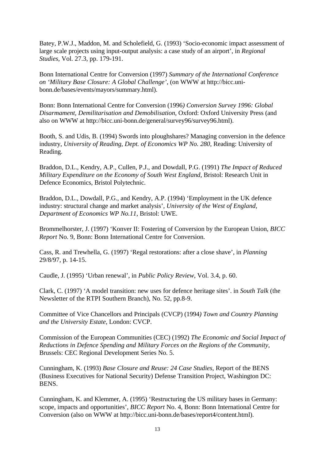Batey, P.W.J., Maddon, M. and Scholefield, G. (1993) 'Socio-economic impact assessment of large scale projects using input-output analysis: a case study of an airport', in *Regional Studies*, Vol. 27.3, pp. 179-191.

Bonn International Centre for Conversion (1997) *Summary of the International Conference on 'Military Base Closure: A Global Challenge'*, (on WWW at http://bicc.unibonn.de/bases/events/mayors/summary.html).

Bonn: Bonn International Centre for Conversion (1996*) Conversion Survey 1996: Global Disarmament, Demilitarisation and Demobilisation*, Oxford: Oxford University Press (and also on WWW at http://bicc.uni-bonn.de/general/survey96/survey96.html).

Booth, S. and Udis, B. (1994) Swords into ploughshares? Managing conversion in the defence industry, *University of Reading, Dept. of Economics WP No. 280*, Reading: University of Reading.

Braddon, D.L., Kendry, A.P., Cullen, P.J., and Dowdall, P.G. (1991) *The Impact of Reduced Military Expenditure on the Economy of South West England*, Bristol: Research Unit in Defence Economics, Bristol Polytechnic.

Braddon, D.L., Dowdall, P.G., and Kendry, A.P. (1994) 'Employment in the UK defence industry: structural change and market analysis'*, University of the West of England, Department of Economics WP No.11*, Bristol: UWE.

Brommelhorster, J. (1997) 'Konver II: Fostering of Conversion by the European Union, *BICC Report* No. 9, Bonn: Bonn International Centre for Conversion.

Cass, R. and Trewhella, G. (1997) 'Regal restorations: after a close shave', in *Planning* 29/8/97, p. 14-15.

Caudle, J. (1995) 'Urban renewal', in *Public Policy Review*, Vol. 3.4, p. 60.

Clark, C. (1997) 'A model transition: new uses for defence heritage sites'. in *South Talk* (the Newsletter of the RTPI Southern Branch), No. 52, pp.8-9.

Committee of Vice Chancellors and Principals (CVCP) (1994*) Town and Country Planning and the University Estate*, London: CVCP.

Commission of the European Communities (CEC) (1992) *The Economic and Social Impact of Reductions in Defence Spending and Military Forces on the Regions of the Community*, Brussels: CEC Regional Development Series No. 5.

Cunningham, K. (1993) *Base Closure and Reuse: 24 Case Studies*, Report of the BENS (Business Executives for National Security) Defense Transition Project, Washington DC: BENS.

Cunningham, K. and Klemmer, A. (1995) 'Restructuring the US military bases in Germany: scope, impacts and opportunities', *BICC Report* No. 4, Bonn: Bonn International Centre for Conversion (also on WWW at http://bicc.uni-bonn.de/bases/report4/content.html).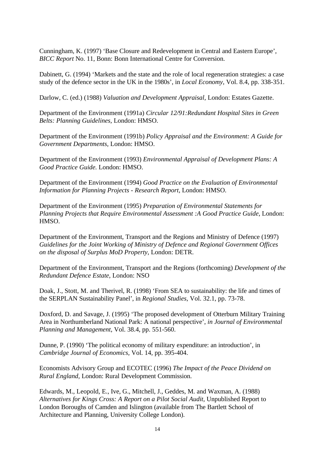Cunningham, K. (1997) 'Base Closure and Redevelopment in Central and Eastern Europe', *BICC Report* No. 11, Bonn: Bonn International Centre for Conversion.

Dabinett, G. (1994) 'Markets and the state and the role of local regeneration strategies: a case study of the defence sector in the UK in the 1980s', in *Local Economy*, Vol. 8.4, pp. 338-351.

Darlow, C. (ed.) (1988) *Valuation and Development Appraisal*, London: Estates Gazette.

Department of the Environment (1991a) *Circular 12/91:Redundant Hospital Sites in Green Belts: Planning Guidelines,* London: HMSO.

Department of the Environment (1991b) *Policy Appraisal and the Environment: A Guide for Government Departments,* London: HMSO.

Department of the Environment (1993) *Environmental Appraisal of Development Plans: A Good Practice Guide.* London: HMSO.

Department of the Environment (1994) *Good Practice on the Evaluation of Environmental Information for Planning Projects - Research Report*, London: HMSO.

Department of the Environment (1995) *Preparation of Environmental Statements for Planning Projects that Require Environmental Assessment :A Good Practice Guide*, London: HMSO.

Department of the Environment, Transport and the Regions and Ministry of Defence (1997) *Guidelines for the Joint Working of Ministry of Defence and Regional Government Offices on the disposal of Surplus MoD Property*, London: DETR.

Department of the Environment, Transport and the Regions (forthcoming) *Development of the Redundant Defence Estate*, London: NSO

Doak, J., Stott, M. and Therivel, R. (1998) 'From SEA to sustainability: the life and times of the SERPLAN Sustainability Panel', in *Regional Studies*, Vol. 32.1, pp. 73-78.

Doxford, D. and Savage, J. (1995) 'The proposed development of Otterburn Military Training Area in Northumberland National Park: A national perspective', *in Journal of Environmental Planning and Management*, Vol. 38.4, pp. 551-560.

Dunne, P. (1990) 'The political economy of military expenditure: an introduction', in *Cambridge Journal of Economics,* Vol. 14, pp. 395-404.

Economists Advisory Group and ECOTEC (1996) *The Impact of the Peace Dividend on Rural England,* London: Rural Development Commission.

Edwards, M., Leopold, E., Ive, G., Mitchell, J., Geddes, M. and Waxman, A. (1988) *Alternatives for Kings Cross: A Report on a Pilot Social Audit*, Unpublished Report to London Boroughs of Camden and Islington (available from The Bartlett School of Architecture and Planning, University College London).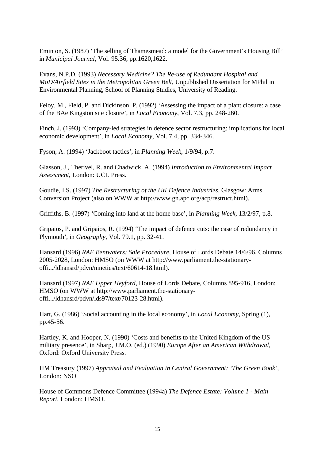Eminton, S. (1987) 'The selling of Thamesmead: a model for the Government's Housing Bill' in *Municipal Journal*, Vol. 95.36, pp.1620,1622.

Evans, N.P.D. (1993) *Necessary Medicine? The Re-use of Redundant Hospital and MoD/Airfield Sites in the Metropolitan Green Belt*, Unpublished Dissertation for MPhil in Environmental Planning, School of Planning Studies, University of Reading.

Feloy, M., Field, P. and Dickinson, P. (1992) 'Assessing the impact of a plant closure: a case of the BAe Kingston site closure', in *Local Economy*, Vol. 7.3, pp. 248-260.

Finch, J. (1993) 'Company-led strategies in defence sector restructuring: implications for local economic development', in *Local Economy*, Vol. 7.4, pp. 334-346.

Fyson, A. (1994) 'Jackboot tactics', in *Planning Week*, 1/9/94, p.7.

Glasson, J., Therivel, R. and Chadwick, A. (1994) *Introduction to Environmental Impact Assessment*, London: UCL Press.

Goudie, I.S. (1997) *The Restructuring of the UK Defence Industries*, Glasgow: Arms Conversion Project (also on WWW at http://www.gn.apc.org/acp/restruct.html).

Griffiths, B. (1997) 'Coming into land at the home base', in *Planning Week*, 13/2/97, p.8.

Gripaios, P. and Gripaios, R. (1994) 'The impact of defence cuts: the case of redundancy in Plymouth', in *Geography*, Vol. 79.1, pp. 32-41.

Hansard (1996) *RAF Bentwaters: Sale Procedure*, House of Lords Debate 14/6/96, Columns 2005-2028, London: HMSO (on WWW at http://www.parliament.the-stationaryoffi.../ldhansrd/pdvn/nineties/text/60614-18.html).

Hansard (1997) *RAF Upper Heyford*, House of Lords Debate, Columns 895-916, London: HMSO (on WWW at http://www.parliament.the-stationaryoffi.../ldhansrd/pdvn/lds97/text/70123-28.html).

Hart, G. (1986) 'Social accounting in the local economy', in *Local Economy*, Spring (1), pp.45-56.

Hartley, K. and Hooper, N. (1990) 'Costs and benefits to the United Kingdom of the US military presence', in Sharp, J.M.O. (ed.) (1990) *Europe After an American Withdrawal*, Oxford: Oxford University Press.

HM Treasury (1997) *Appraisal and Evaluation in Central Government: 'The Green Book',* London: NSO

House of Commons Defence Committee (1994a) *The Defence Estate: Volume 1 - Main Report*, London: HMSO.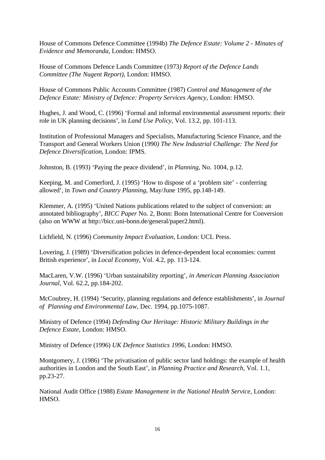House of Commons Defence Committee (1994b) *The Defence Estate: Volume 2 - Minutes of Evidence and Memoranda*, London: HMSO.

House of Commons Defence Lands Committee (1973*) Report of the Defence Lands Committee (The Nugent Report),* London: HMSO.

House of Commons Public Accounts Committee (1987) *Control and Management of the Defence Estate: Ministry of Defence: Property Services Agency*, London: HMSO.

Hughes, J. and Wood, C. (1996) 'Formal and informal environmental assessment reports: their role in UK planning decisions', in *Land Use Policy*, Vol. 13.2, pp. 101-113.

Institution of Professional Managers and Specialists, Manufacturing Science Finance, and the Transport and General Workers Union (1990*) The New Industrial Challenge: The Need for Defence Diversification*, London: IPMS.

Johnston, B. (1993) 'Paying the peace dividend', in *Planning*, No. 1004, p.12.

Keeping, M. and Comerford, J. (1995) 'How to dispose of a 'problem site' - conferring allowed', in *Town and Country Planning*, May/June 1995, pp.148-149.

Klemmer, A. (1995) 'United Nations publications related to the subject of conversion: an annotated bibliography', *BICC Paper* No. 2, Bonn: Bonn International Centre for Conversion (also on WWW at http://bicc.uni-bonn.de/general/paper2.html).

Lichfield, N. (1996) *Community Impact Evaluation*, London: UCL Press.

Lovering, J. (1989) 'Diversification policies in defence-dependent local economies: current British experience', in *Local Economy*, Vol. 4.2, pp. 113-124.

MacLaren, V.W. (1996) 'Urban sustainability reporting', *in American Planning Association Journal*, Vol. 62.2, pp.184-202.

McCoubrey, H. (1994) 'Security, planning regulations and defence establishments', in *Journal of Planning and Environmental Law*, Dec. 1994, pp.1075-1087.

Ministry of Defence (1994) *Defending Our Heritage: Historic Military Buildings in the Defence Estate*, London: HMSO.

Ministry of Defence (1996) *UK Defence Statistics 1996*, London: HMSO.

Montgomery, J. (1986) 'The privatisation of public sector land holdings: the example of health authorities in London and the South East', in *Planning Practice and Research*, Vol. 1.1, pp.23-27.

National Audit Office (1988) *Estate Management in the National Health Service*, London: HMSO.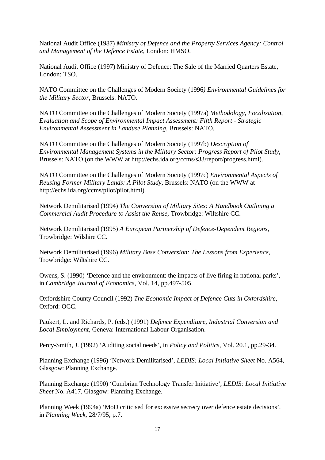National Audit Office (1987) *Ministry of Defence and the Property Services Agency: Control and Management of the Defence Estate*, London: HMSO.

National Audit Office (1997) Ministry of Defence: The Sale of the Married Quarters Estate, London: TSO.

NATO Committee on the Challenges of Modern Society (1996*) Environmental Guidelines for the Military Sector*, Brussels: NATO.

NATO Committee on the Challenges of Modern Society (1997a) *Methodology, Focalisation, Evaluation and Scope of Environmental Impact Assessment: Fifth Report - Strategic Environmental Assessment in Landuse Planning*, Brussels: NATO.

NATO Committee on the Challenges of Modern Society (1997b) *Description of Environmental Management Systems in the Military Sector: Progress Report of Pilot Study*, Brussels: NATO (on the WWW at http://echs.ida.org/ccms/s33/report/progress.html).

NATO Committee on the Challenges of Modern Society (1997c) *Environmental Aspects of Reusing Former Military Lands: A Pilot Study,* Brussels: NATO (on the WWW at http://echs.ida.org/ccms/pilot/pilot.html).

Network Demilitarised (1994) *The Conversion of Military Sites: A Handbook Outlining a Commercial Audit Procedure to Assist the Reuse*, Trowbridge: Wiltshire CC.

Network Demilitarised (1995) *A European Partnership of Defence-Dependent Regions*, Trowbridge: Wilshire CC.

Network Demilitarised (1996) *Military Base Conversion: The Lessons from Experience*, Trowbridge: Wiltshire CC.

Owens, S. (1990) 'Defence and the environment: the impacts of live firing in national parks', in *Cambridge Journal of Economics*, Vol. 14, pp.497-505.

Oxfordshire County Council (1992) *The Economic Impact of Defence Cuts in Oxfordshire*, Oxford: OCC.

Paukert, L. and Richards, P. (eds.) (1991) *Defence Expenditure, Industrial Conversion and Local Employment,* Geneva: International Labour Organisation.

Percy-Smith, J. (1992) 'Auditing social needs', in *Policy and Politics*, Vol. 20.1, pp.29-34.

Planning Exchange (1996) 'Network Demilitarised'*, LEDIS: Local Initiative Sheet* No. A564, Glasgow: Planning Exchange.

Planning Exchange (1990) 'Cumbrian Technology Transfer Initiative'*, LEDIS: Local Initiative Sheet* No. A417, Glasgow: Planning Exchange.

Planning Week (1994a) 'MoD criticised for excessive secrecy over defence estate decisions', in *Planning Week*, 28/7/95, p.7.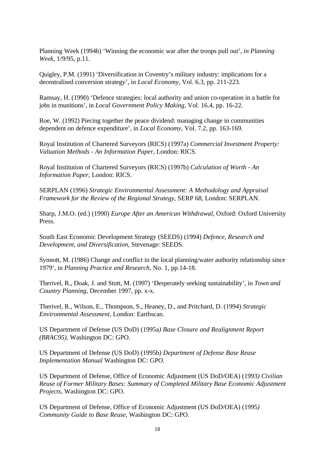Planning Week (1994b) 'Winning the economic war after the troops pull out', *in Planning Week*, 1/9/95, p.11.

Quigley, P.M. (1991) 'Diversification in Coventry's military industry: implications for a decentralised conversion strategy', in *Local Economy*, Vol. 6.3, pp. 211-223.

Ramsay, H. (1990) 'Defence strategies: local authority and union co-operation in a battle for jobs in munitions', in *Local Government Policy Making*, Vol. 16.4, pp. 16-22.

Roe, W. (1992) Piecing together the peace dividend: managing change in communities dependent on defence expenditure', in *Local Economy*, Vol. 7.2, pp. 163-169.

Royal Institution of Chartered Surveyors (RICS) (1997a) *Commercial Investment Property: Valuation Methods - An Information Paper,* London: RICS.

Royal Institution of Chartered Surveyors (RICS) (1997b) *Calculation of Worth - An Information Paper,* London: RICS.

SERPLAN (1996) *Strategic Environmental Assessment: A Methodology and Appraisal Framework for the Review of the Regional Strategy*, SERP 68, London: SERPLAN.

Sharp, J.M.O. (ed.) (1990) *Europe After an American Withdrawal*, Oxford: Oxford University Press.

South East Economic Development Strategy (SEEDS) (1994) *Defence, Research and Development, and Diversification*, Stevenage: SEEDS.

Synnott, M. (1986) Change and conflict in the local planning/water authority relationship since 1979', in *Planning Practice and Research*, No. 1, pp.14-18.

Therivel, R., Doak, J. and Stott, M. (1997) 'Desperately seeking sustainability', in *Town and Country Planning*, December 1997, pp. x-x.

Therivel, R., Wilson, E., Thompson, S., Heaney, D., and Pritchard, D. (1994) *Strategic Environmental Assessment*, London: Earthscan.

US Department of Defense (US DoD) (1995a*) Base Closure and Realignment Report (BRAC95)*, Washington DC: GPO.

US Department of Defense (US DoD) (1995b*) Department of Defense Base Reuse Implementation Manual* Washington DC: GPO.

US Department of Defense, Office of Economic Adjustment (US DoD/OEA) (1993*) Civilian Reuse of Former Military Bases: Summary of Completed Military Base Economic Adjustment Projects*, Washington DC: GPO.

US Department of Defense, Office of Economic Adjustment (US DoD/OEA) (1995*) Community Guide to Base Reuse*, Washington DC: GPO.